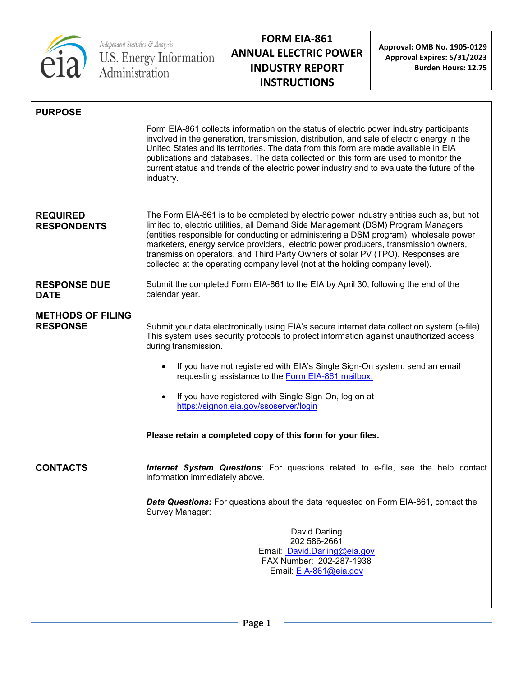

# **FORM EIA-861 ANNUAL ELECTRIC POWER INDUSTRY REPORT INSTRUCTIONS**

**Approval: OMB No. 1905-0129 Approval Expires: 5/31/2023 Burden Hours: 12.75**

| Form EIA-861 collects information on the status of electric power industry participants<br>involved in the generation, transmission, distribution, and sale of electric energy in the<br>United States and its territories. The data from this form are made available in EIA<br>publications and databases. The data collected on this form are used to monitor the<br>current status and trends of the electric power industry and to evaluate the future of the<br>industry.                                                                |
|------------------------------------------------------------------------------------------------------------------------------------------------------------------------------------------------------------------------------------------------------------------------------------------------------------------------------------------------------------------------------------------------------------------------------------------------------------------------------------------------------------------------------------------------|
| The Form EIA-861 is to be completed by electric power industry entities such as, but not<br>limited to, electric utilities, all Demand Side Management (DSM) Program Managers<br>(entities responsible for conducting or administering a DSM program), wholesale power<br>marketers, energy service providers, electric power producers, transmission owners,<br>transmission operators, and Third Party Owners of solar PV (TPO). Responses are<br>collected at the operating company level (not at the holding company level).               |
| Submit the completed Form EIA-861 to the EIA by April 30, following the end of the<br>calendar year.                                                                                                                                                                                                                                                                                                                                                                                                                                           |
| Submit your data electronically using EIA's secure internet data collection system (e-file).<br>This system uses security protocols to protect information against unauthorized access<br>during transmission.<br>If you have not registered with EIA's Single Sign-On system, send an email<br>$\bullet$<br>requesting assistance to the Form EIA-861 mailbox.<br>If you have registered with Single Sign-On, log on at<br>$\bullet$<br>https://signon.eia.gov/ssoserver/login<br>Please retain a completed copy of this form for your files. |
| <b>Internet System Questions:</b> For questions related to e-file, see the help contact<br>information immediately above.                                                                                                                                                                                                                                                                                                                                                                                                                      |
| <b>Data Questions:</b> For questions about the data requested on Form EIA-861, contact the<br>Survey Manager:                                                                                                                                                                                                                                                                                                                                                                                                                                  |
| David Darling<br>202 586-2661<br>Email: David.Darling@eia.gov<br>FAX Number: 202-287-1938<br>Email: EIA-861@eia.gov                                                                                                                                                                                                                                                                                                                                                                                                                            |
|                                                                                                                                                                                                                                                                                                                                                                                                                                                                                                                                                |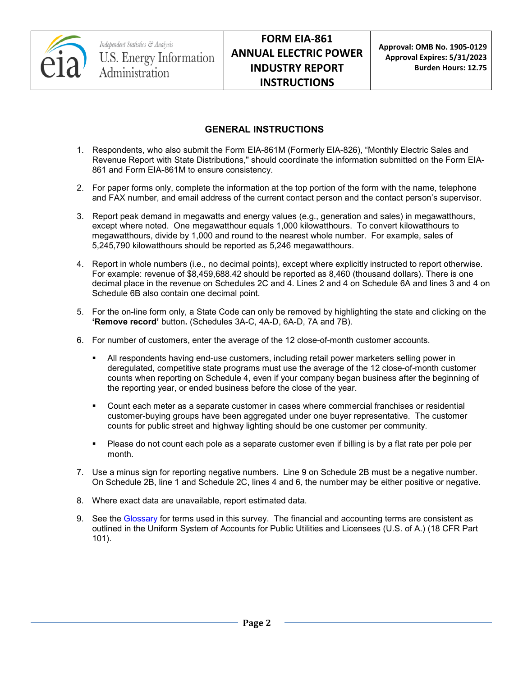

## **GENERAL INSTRUCTIONS**

- 1. Respondents, who also submit the Form EIA-861M (Formerly EIA-826), "Monthly Electric Sales and Revenue Report with State Distributions," should coordinate the information submitted on the Form EIA-861 and Form EIA-861M to ensure consistency.
- 2. For paper forms only, complete the information at the top portion of the form with the name, telephone and FAX number, and email address of the current contact person and the contact person's supervisor.
- 3. Report peak demand in megawatts and energy values (e.g., generation and sales) in megawatthours, except where noted. One megawatthour equals 1,000 kilowatthours. To convert kilowatthours to megawatthours, divide by 1,000 and round to the nearest whole number. For example, sales of 5,245,790 kilowatthours should be reported as 5,246 megawatthours.
- 4. Report in whole numbers (i.e., no decimal points), except where explicitly instructed to report otherwise. For example: revenue of \$8,459,688.42 should be reported as 8,460 (thousand dollars). There is one decimal place in the revenue on Schedules 2C and 4. Lines 2 and 4 on Schedule 6A and lines 3 and 4 on Schedule 6B also contain one decimal point.
- 5. For the on-line form only, a State Code can only be removed by highlighting the state and clicking on the **'Remove record'** button**.** (Schedules 3A-C, 4A-D, 6A-D, 7A and 7B).
- 6. For number of customers, enter the average of the 12 close-of-month customer accounts.
	- All respondents having end-use customers, including retail power marketers selling power in deregulated, competitive state programs must use the average of the 12 close-of-month customer counts when reporting on Schedule 4, even if your company began business after the beginning of the reporting year, or ended business before the close of the year.
	- Count each meter as a separate customer in cases where commercial franchises or residential customer-buying groups have been aggregated under one buyer representative. The customer counts for public street and highway lighting should be one customer per community.
	- Please do not count each pole as a separate customer even if billing is by a flat rate per pole per month.
- 7. Use a minus sign for reporting negative numbers. Line 9 on Schedule 2B must be a negative number. On Schedule 2B, line 1 and Schedule 2C, lines 4 and 6, the number may be either positive or negative.
- 8. Where exact data are unavailable, report estimated data.
- 9. See the [Glossary](http://www.eia.gov/tools/glossary/) for terms used in this survey. The financial and accounting terms are consistent as outlined in the Uniform System of Accounts for Public Utilities and Licensees (U.S. of A.) (18 CFR Part 101).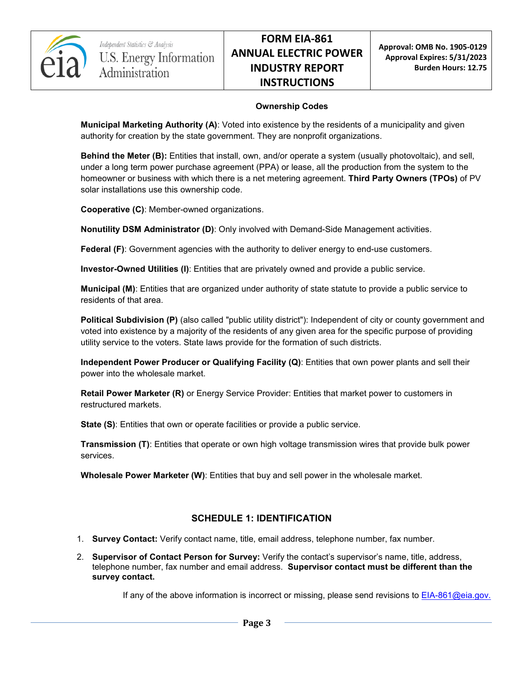

#### **Ownership Codes**

**Municipal Marketing Authority (A)**: Voted into existence by the residents of a municipality and given authority for creation by the state government. They are nonprofit organizations.

**Behind the Meter (B):** Entities that install, own, and/or operate a system (usually photovoltaic), and sell, under a long term power purchase agreement (PPA) or lease, all the production from the system to the homeowner or business with which there is a net metering agreement. **Third Party Owners (TPOs)** of PV solar installations use this ownership code.

**Cooperative (C)**: Member-owned organizations.

**Nonutility DSM Administrator (D)**: Only involved with Demand-Side Management activities.

**Federal (F)**: Government agencies with the authority to deliver energy to end-use customers.

**Investor-Owned Utilities (I)**: Entities that are privately owned and provide a public service.

**Municipal (M)**: Entities that are organized under authority of state statute to provide a public service to residents of that area.

**Political Subdivision (P)** (also called "public utility district"): Independent of city or county government and voted into existence by a majority of the residents of any given area for the specific purpose of providing utility service to the voters. State laws provide for the formation of such districts.

**Independent Power Producer or Qualifying Facility (Q)**: Entities that own power plants and sell their power into the wholesale market.

**Retail Power Marketer (R)** or Energy Service Provider: Entities that market power to customers in restructured markets.

**State (S)**: Entities that own or operate facilities or provide a public service.

**Transmission (T)**: Entities that operate or own high voltage transmission wires that provide bulk power services.

**Wholesale Power Marketer (W)**: Entities that buy and sell power in the wholesale market.

## **SCHEDULE 1: IDENTIFICATION**

- 1. **Survey Contact:** Verify contact name, title, email address, telephone number, fax number.
- 2. **Supervisor of Contact Person for Survey:** Verify the contact's supervisor's name, title, address, telephone number, fax number and email address. **Supervisor contact must be different than the survey contact.**

If any of the above information is incorrect or missing, please send revisions to **EIA-861@eia.gov.**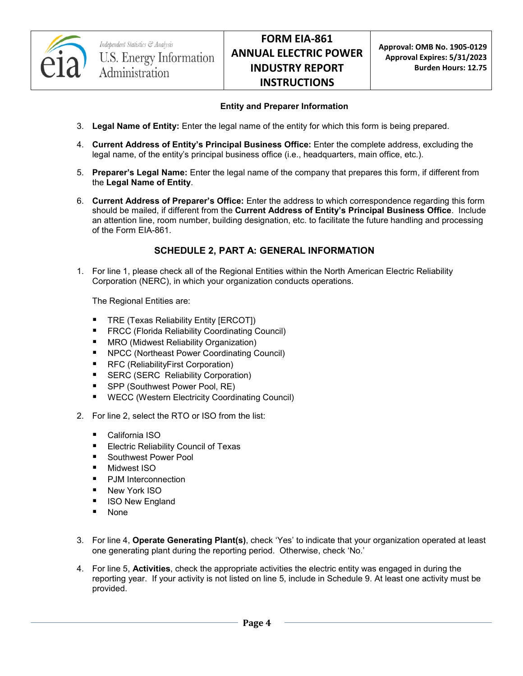

#### **Entity and Preparer Information**

- 3. **Legal Name of Entity:** Enter the legal name of the entity for which this form is being prepared.
- 4. **Current Address of Entity's Principal Business Office:** Enter the complete address, excluding the legal name, of the entity's principal business office (i.e., headquarters, main office, etc.).
- 5. **Preparer's Legal Name:** Enter the legal name of the company that prepares this form, if different from the **Legal Name of Entity**.
- 6. **Current Address of Preparer's Office:** Enter the address to which correspondence regarding this form should be mailed, if different from the **Current Address of Entity's Principal Business Office**. Include an attention line, room number, building designation, etc. to facilitate the future handling and processing of the Form EIA-861.

## **SCHEDULE 2, PART A: GENERAL INFORMATION**

1. For line 1, please check all of the Regional Entities within the North American Electric Reliability Corporation (NERC), in which your organization conducts operations.

The Regional Entities are:

- **TRE (Texas Reliability Entity [ERCOT])**
- FRCC (Florida Reliability Coordinating Council)
- **MRO (Midwest Reliability Organization)**
- NPCC (Northeast Power Coordinating Council)
- RFC (ReliabilityFirst Corporation)
- **SERC (SERC Reliability Corporation)**
- SPP (Southwest Power Pool, RE)
- WECC (Western Electricity Coordinating Council)
- 2. For line 2, select the RTO or ISO from the list:
	- California ISO
	- **Electric Reliability Council of Texas**
	- Southwest Power Pool
	- Midwest ISO
	- PJM Interconnection
	- New York ISO
	- **I** ISO New England
	- None
- 3. For line 4, **Operate Generating Plant(s)**, check 'Yes' to indicate that your organization operated at least one generating plant during the reporting period. Otherwise, check 'No.'
- 4. For line 5, **Activities**, check the appropriate activities the electric entity was engaged in during the reporting year. If your activity is not listed on line 5, include in Schedule 9. At least one activity must be provided.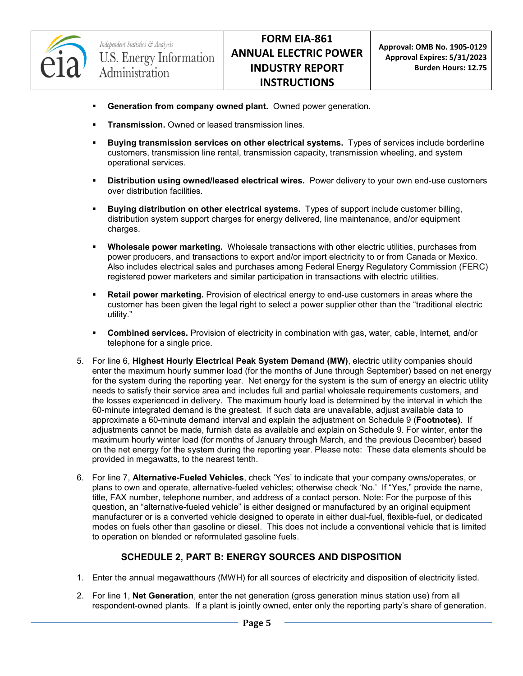

- **Generation from company owned plant.** Owned power generation.
- **Transmission.** Owned or leased transmission lines.
- **Buying transmission services on other electrical systems.** Types of services include borderline customers, transmission line rental, transmission capacity, transmission wheeling, and system operational services.
- **Distribution using owned/leased electrical wires.** Power delivery to your own end-use customers over distribution facilities.
- **Buying distribution on other electrical systems.** Types of support include customer billing, distribution system support charges for energy delivered, line maintenance, and/or equipment charges.
- **Wholesale power marketing.** Wholesale transactions with other electric utilities, purchases from power producers, and transactions to export and/or import electricity to or from Canada or Mexico. Also includes electrical sales and purchases among Federal Energy Regulatory Commission (FERC) registered power marketers and similar participation in transactions with electric utilities.
- **Retail power marketing.** Provision of electrical energy to end-use customers in areas where the customer has been given the legal right to select a power supplier other than the "traditional electric utility."
- **Combined services.** Provision of electricity in combination with gas, water, cable, Internet, and/or telephone for a single price.
- 5. For line 6, **Highest Hourly Electrical Peak System Demand (MW)**, electric utility companies should enter the maximum hourly summer load (for the months of June through September) based on net energy for the system during the reporting year. Net energy for the system is the sum of energy an electric utility needs to satisfy their service area and includes full and partial wholesale requirements customers, and the losses experienced in delivery. The maximum hourly load is determined by the interval in which the 60-minute integrated demand is the greatest. If such data are unavailable, adjust available data to approximate a 60-minute demand interval and explain the adjustment on Schedule 9 (**Footnotes)**. If adjustments cannot be made, furnish data as available and explain on Schedule 9. For winter, enter the maximum hourly winter load (for months of January through March, and the previous December) based on the net energy for the system during the reporting year. Please note: These data elements should be provided in megawatts, to the nearest tenth.
- 6. For line 7, **Alternative-Fueled Vehicles**, check 'Yes' to indicate that your company owns/operates, or plans to own and operate, alternative-fueled vehicles; otherwise check 'No.' If "Yes," provide the name, title, FAX number, telephone number, and address of a contact person. Note: For the purpose of this question, an "alternative-fueled vehicle" is either designed or manufactured by an original equipment manufacturer or is a converted vehicle designed to operate in either dual-fuel, flexible-fuel, or dedicated modes on fuels other than gasoline or diesel. This does not include a conventional vehicle that is limited to operation on blended or reformulated gasoline fuels.

## **SCHEDULE 2, PART B: ENERGY SOURCES AND DISPOSITION**

- 1. Enter the annual megawatthours (MWH) for all sources of electricity and disposition of electricity listed.
- 2. For line 1, **Net Generation**, enter the net generation (gross generation minus station use) from all respondent-owned plants. If a plant is jointly owned, enter only the reporting party's share of generation.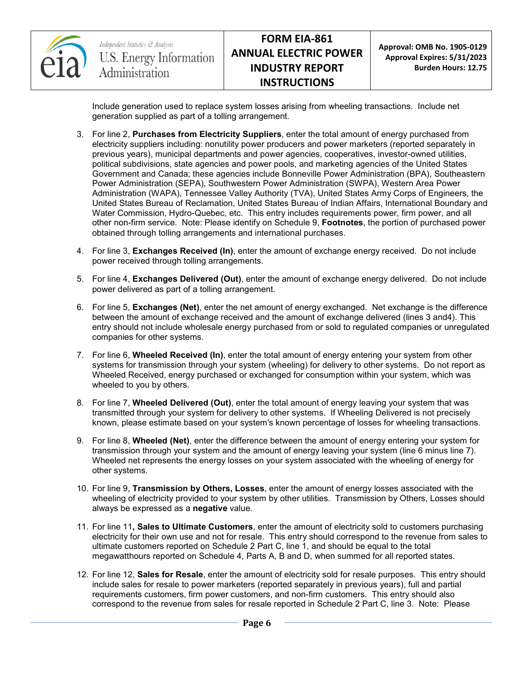

**Approval: OMB No. 1905-0129 Approval Expires: 5/31/2023 Burden Hours: 12.75**

Include generation used to replace system losses arising from wheeling transactions. Include net generation supplied as part of a tolling arrangement.

- 3. For line 2, **Purchases from Electricity Suppliers**, enter the total amount of energy purchased from electricity suppliers including: nonutility power producers and power marketers (reported separately in previous years), municipal departments and power agencies, cooperatives, investor-owned utilities, political subdivisions, state agencies and power pools, and marketing agencies of the United States Government and Canada; these agencies include Bonneville Power Administration (BPA), Southeastern Power Administration (SEPA), Southwestern Power Administration (SWPA), Western Area Power Administration (WAPA), Tennessee Valley Authority (TVA), United States Army Corps of Engineers, the United States Bureau of Reclamation, United States Bureau of Indian Affairs, International Boundary and Water Commission, Hydro-Quebec, etc. This entry includes requirements power, firm power, and all other non-firm service. Note: Please identify on Schedule 9, **Footnotes**, the portion of purchased power obtained through tolling arrangements and international purchases.
- 4. For line 3, **Exchanges Received (In)**, enter the amount of exchange energy received. Do not include power received through tolling arrangements.
- 5. For line 4, **Exchanges Delivered (Out)**, enter the amount of exchange energy delivered. Do not include power delivered as part of a tolling arrangement.
- 6. For line 5, **Exchanges (Net)**, enter the net amount of energy exchanged. Net exchange is the difference between the amount of exchange received and the amount of exchange delivered (lines 3 and4). This entry should not include wholesale energy purchased from or sold to regulated companies or unregulated companies for other systems.
- 7. For line 6, **Wheeled Received (In)**, enter the total amount of energy entering your system from other systems for transmission through your system (wheeling) for delivery to other systems. Do not report as Wheeled Received, energy purchased or exchanged for consumption within your system, which was wheeled to you by others.
- 8. For line 7, **Wheeled Delivered (Out)**, enter the total amount of energy leaving your system that was transmitted through your system for delivery to other systems. If Wheeling Delivered is not precisely known, please estimate based on your system's known percentage of losses for wheeling transactions.
- 9. For line 8, **Wheeled (Net)**, enter the difference between the amount of energy entering your system for transmission through your system and the amount of energy leaving your system (line 6 minus line 7). Wheeled net represents the energy losses on your system associated with the wheeling of energy for other systems.
- 10. For line 9, **Transmission by Others, Losses**, enter the amount of energy losses associated with the wheeling of electricity provided to your system by other utilities. Transmission by Others, Losses should always be expressed as a **negative** value.
- 11. For line 11**, Sales to Ultimate Customers**, enter the amount of electricity sold to customers purchasing electricity for their own use and not for resale. This entry should correspond to the revenue from sales to ultimate customers reported on Schedule 2 Part C, line 1, and should be equal to the total megawatthours reported on Schedule 4, Parts A, B and D, when summed for all reported states.
- 12. For line 12, **Sales for Resale**, enter the amount of electricity sold for resale purposes. This entry should include sales for resale to power marketers (reported separately in previous years), full and partial requirements customers, firm power customers, and non-firm customers. This entry should also correspond to the revenue from sales for resale reported in Schedule 2 Part C, line 3. Note: Please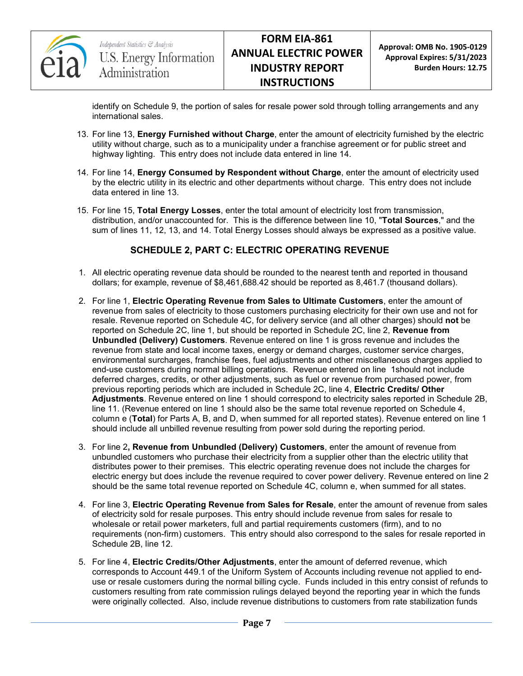

identify on Schedule 9, the portion of sales for resale power sold through tolling arrangements and any international sales.

- 13. For line 13, **Energy Furnished without Charge**, enter the amount of electricity furnished by the electric utility without charge, such as to a municipality under a franchise agreement or for public street and highway lighting. This entry does not include data entered in line 14.
- 14. For line 14, **Energy Consumed by Respondent without Charge**, enter the amount of electricity used by the electric utility in its electric and other departments without charge. This entry does not include data entered in line 13.
- 15. For line 15, **Total Energy Losses**, enter the total amount of electricity lost from transmission, distribution, and/or unaccounted for. This is the difference between line 10, "**Total Sources**," and the sum of lines 11, 12, 13, and 14. Total Energy Losses should always be expressed as a positive value.

# **SCHEDULE 2, PART C: ELECTRIC OPERATING REVENUE**

- 1. All electric operating revenue data should be rounded to the nearest tenth and reported in thousand dollars; for example, revenue of \$8,461,688.42 should be reported as 8,461.7 (thousand dollars).
- 2. For line 1, **Electric Operating Revenue from Sales to Ultimate Customers**, enter the amount of revenue from sales of electricity to those customers purchasing electricity for their own use and not for resale. Revenue reported on Schedule 4C, for delivery service (and all other charges) should **not** be reported on Schedule 2C, line 1, but should be reported in Schedule 2C, line 2, **Revenue from Unbundled (Delivery) Customers**. Revenue entered on line 1 is gross revenue and includes the revenue from state and local income taxes, energy or demand charges, customer service charges, environmental surcharges, franchise fees, fuel adjustments and other miscellaneous charges applied to end-use customers during normal billing operations. Revenue entered on line 1should not include deferred charges, credits, or other adjustments, such as fuel or revenue from purchased power, from previous reporting periods which are included in Schedule 2C, line 4, **Electric Credits/ Other Adjustments**. Revenue entered on line 1 should correspond to electricity sales reported in Schedule 2B, line 11. (Revenue entered on line 1 should also be the same total revenue reported on Schedule 4, column e (**Total**) for Parts A, B, and D, when summed for all reported states). Revenue entered on line 1 should include all unbilled revenue resulting from power sold during the reporting period.
- 3. For line 2**, Revenue from Unbundled (Delivery) Customers**, enter the amount of revenue from unbundled customers who purchase their electricity from a supplier other than the electric utility that distributes power to their premises. This electric operating revenue does not include the charges for electric energy but does include the revenue required to cover power delivery. Revenue entered on line 2 should be the same total revenue reported on Schedule 4C, column e, when summed for all states.
- 4. For line 3, **Electric Operating Revenue from Sales for Resale**, enter the amount of revenue from sales of electricity sold for resale purposes. This entry should include revenue from sales for resale to wholesale or retail power marketers, full and partial requirements customers (firm), and to no requirements (non-firm) customers. This entry should also correspond to the sales for resale reported in Schedule 2B, line 12.
- 5. For line 4, **Electric Credits/Other Adjustments**, enter the amount of deferred revenue, which corresponds to Account 449.1 of the Uniform System of Accounts including revenue not applied to enduse or resale customers during the normal billing cycle. Funds included in this entry consist of refunds to customers resulting from rate commission rulings delayed beyond the reporting year in which the funds were originally collected. Also, include revenue distributions to customers from rate stabilization funds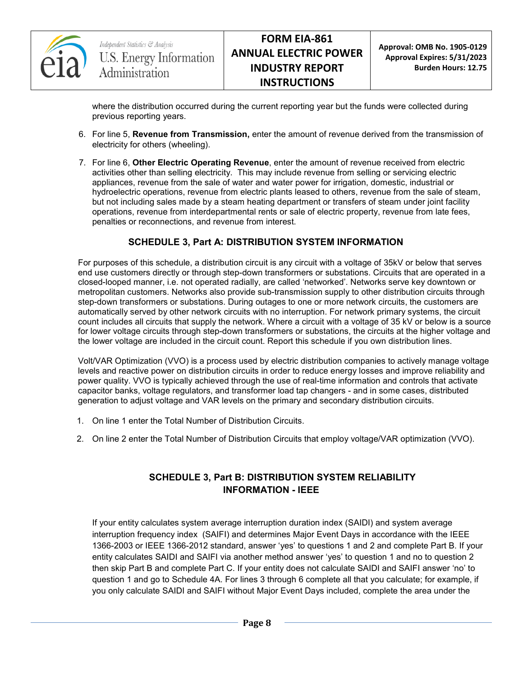

where the distribution occurred during the current reporting year but the funds were collected during previous reporting years.

- 6. For line 5, **Revenue from Transmission,** enter the amount of revenue derived from the transmission of electricity for others (wheeling).
- 7. For line 6, **Other Electric Operating Revenue**, enter the amount of revenue received from electric activities other than selling electricity. This may include revenue from selling or servicing electric appliances, revenue from the sale of water and water power for irrigation, domestic, industrial or hydroelectric operations, revenue from electric plants leased to others, revenue from the sale of steam, but not including sales made by a steam heating department or transfers of steam under joint facility operations, revenue from interdepartmental rents or sale of electric property, revenue from late fees, penalties or reconnections, and revenue from interest.

# **SCHEDULE 3, Part A: DISTRIBUTION SYSTEM INFORMATION**

For purposes of this schedule, a distribution circuit is any circuit with a voltage of 35kV or below that serves end use customers directly or through step-down transformers or substations. Circuits that are operated in a closed-looped manner, i.e. not operated radially, are called 'networked'. Networks serve key downtown or metropolitan customers. Networks also provide sub-transmission supply to other distribution circuits through step-down transformers or substations. During outages to one or more network circuits, the customers are automatically served by other network circuits with no interruption. For network primary systems, the circuit count includes all circuits that supply the network. Where a circuit with a voltage of 35 kV or below is a source for lower voltage circuits through step-down transformers or substations, the circuits at the higher voltage and the lower voltage are included in the circuit count. Report this schedule if you own distribution lines.

Volt/VAR Optimization (VVO) is a process used by electric distribution companies to actively manage voltage levels and reactive power on distribution circuits in order to reduce energy losses and improve reliability and power quality. VVO is typically achieved through the use of real-time information and controls that activate capacitor banks, voltage regulators, and transformer load tap changers - and in some cases, distributed generation to adjust voltage and VAR levels on the primary and secondary distribution circuits.

- 1. On line 1 enter the Total Number of Distribution Circuits.
- 2. On line 2 enter the Total Number of Distribution Circuits that employ voltage/VAR optimization (VVO).

## **SCHEDULE 3, Part B: DISTRIBUTION SYSTEM RELIABILITY INFORMATION - IEEE**

If your entity calculates system average interruption duration index (SAIDI) and system average interruption frequency index (SAIFI) and determines Major Event Days in accordance with the IEEE 1366-2003 or IEEE 1366-2012 standard, answer 'yes' to questions 1 and 2 and complete Part B. If your entity calculates SAIDI and SAIFI via another method answer 'yes' to question 1 and no to question 2 then skip Part B and complete Part C. If your entity does not calculate SAIDI and SAIFI answer 'no' to question 1 and go to Schedule 4A. For lines 3 through 6 complete all that you calculate; for example, if you only calculate SAIDI and SAIFI without Major Event Days included, complete the area under the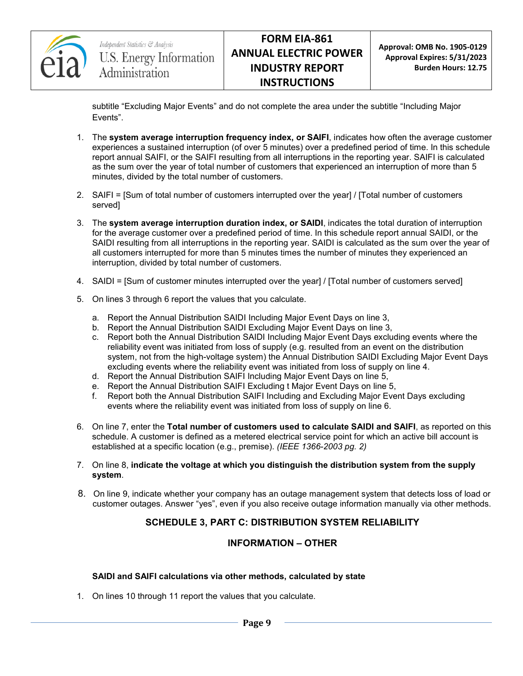

**Approval: OMB No. 1905-0129 Approval Expires: 5/31/2023 Burden Hours: 12.75**

subtitle "Excluding Major Events" and do not complete the area under the subtitle "Including Major Events".

- 1. The **system average interruption frequency index, or SAIFI**, indicates how often the average customer experiences a sustained interruption (of over 5 minutes) over a predefined period of time. In this schedule report annual SAIFI, or the SAIFI resulting from all interruptions in the reporting year. SAIFI is calculated as the sum over the year of total number of customers that experienced an interruption of more than 5 minutes, divided by the total number of customers.
- 2. SAIFI = [Sum of total number of customers interrupted over the year] / [Total number of customers served]
- 3. The **system average interruption duration index, or SAIDI**, indicates the total duration of interruption for the average customer over a predefined period of time. In this schedule report annual SAIDI, or the SAIDI resulting from all interruptions in the reporting year. SAIDI is calculated as the sum over the year of all customers interrupted for more than 5 minutes times the number of minutes they experienced an interruption, divided by total number of customers.
- 4. SAIDI = [Sum of customer minutes interrupted over the year] / [Total number of customers served]
- 5. On lines 3 through 6 report the values that you calculate.
	- a. Report the Annual Distribution SAIDI Including Major Event Days on line 3,
	- b. Report the Annual Distribution SAIDI Excluding Major Event Days on line 3,
	- c. Report both the Annual Distribution SAIDI Including Major Event Days excluding events where the reliability event was initiated from loss of supply (e.g. resulted from an event on the distribution system, not from the high-voltage system) the Annual Distribution SAIDI Excluding Major Event Days excluding events where the reliability event was initiated from loss of supply on line 4.
	- d. Report the Annual Distribution SAIFI Including Major Event Days on line 5,
	- e. Report the Annual Distribution SAIFI Excluding t Major Event Days on line 5,
	- f. Report both the Annual Distribution SAIFI Including and Excluding Major Event Days excluding events where the reliability event was initiated from loss of supply on line 6.
- 6. On line 7, enter the **Total number of customers used to calculate SAIDI and SAIFI**, as reported on this schedule. A customer is defined as a metered electrical service point for which an active bill account is established at a specific location (e.g., premise). *(IEEE 1366-2003 pg. 2)*
- 7. On line 8, **indicate the voltage at which you distinguish the distribution system from the supply system**.
- 8. On line 9, indicate whether your company has an outage management system that detects loss of load or customer outages. Answer "yes", even if you also receive outage information manually via other methods.

## **SCHEDULE 3, PART C: DISTRIBUTION SYSTEM RELIABILITY**

#### **INFORMATION – OTHER**

#### **SAIDI and SAIFI calculations via other methods, calculated by state**

1. On lines 10 through 11 report the values that you calculate.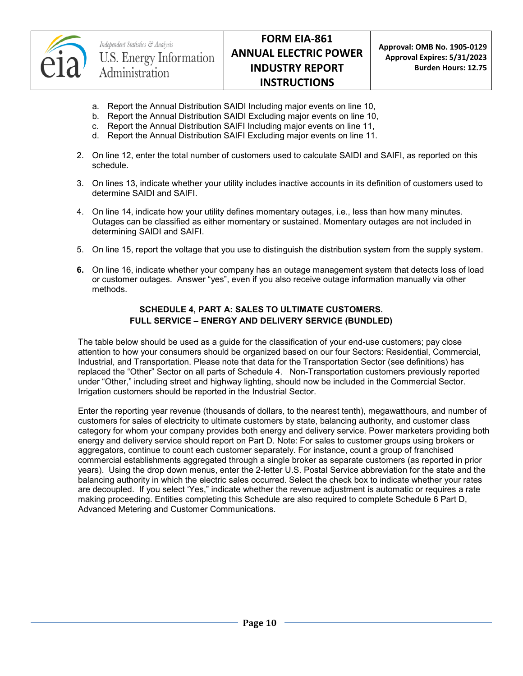

Independent Statistics & Analysis U.S. Energy Information Administration

- a. Report the Annual Distribution SAIDI Including major events on line 10,
- b. Report the Annual Distribution SAIDI Excluding major events on line 10,
- c. Report the Annual Distribution SAIFI Including major events on line 11,
- d. Report the Annual Distribution SAIFI Excluding major events on line 11.
- 2. On line 12, enter the total number of customers used to calculate SAIDI and SAIFI, as reported on this schedule.
- 3. On lines 13, indicate whether your utility includes inactive accounts in its definition of customers used to determine SAIDI and SAIFI.
- 4. On line 14, indicate how your utility defines momentary outages, i.e., less than how many minutes. Outages can be classified as either momentary or sustained. Momentary outages are not included in determining SAIDI and SAIFI.
- 5. On line 15, report the voltage that you use to distinguish the distribution system from the supply system.
- **6.** On line 16, indicate whether your company has an outage management system that detects loss of load or customer outages. Answer "yes", even if you also receive outage information manually via other methods.

#### **SCHEDULE 4, PART A: SALES TO ULTIMATE CUSTOMERS. FULL SERVICE – ENERGY AND DELIVERY SERVICE (BUNDLED)**

The table below should be used as a guide for the classification of your end-use customers; pay close attention to how your consumers should be organized based on our four Sectors: Residential, Commercial, Industrial, and Transportation. Please note that data for the Transportation Sector (see definitions) has replaced the "Other" Sector on all parts of Schedule 4. Non-Transportation customers previously reported under "Other," including street and highway lighting, should now be included in the Commercial Sector. Irrigation customers should be reported in the Industrial Sector.

Enter the reporting year revenue (thousands of dollars, to the nearest tenth), megawatthours, and number of customers for sales of electricity to ultimate customers by state, balancing authority, and customer class category for whom your company provides both energy and delivery service. Power marketers providing both energy and delivery service should report on Part D. Note: For sales to customer groups using brokers or aggregators, continue to count each customer separately. For instance, count a group of franchised commercial establishments aggregated through a single broker as separate customers (as reported in prior years). Using the drop down menus, enter the 2-letter U.S. Postal Service abbreviation for the state and the balancing authority in which the electric sales occurred. Select the check box to indicate whether your rates are decoupled. If you select 'Yes," indicate whether the revenue adjustment is automatic or requires a rate making proceeding. Entities completing this Schedule are also required to complete Schedule 6 Part D, Advanced Metering and Customer Communications.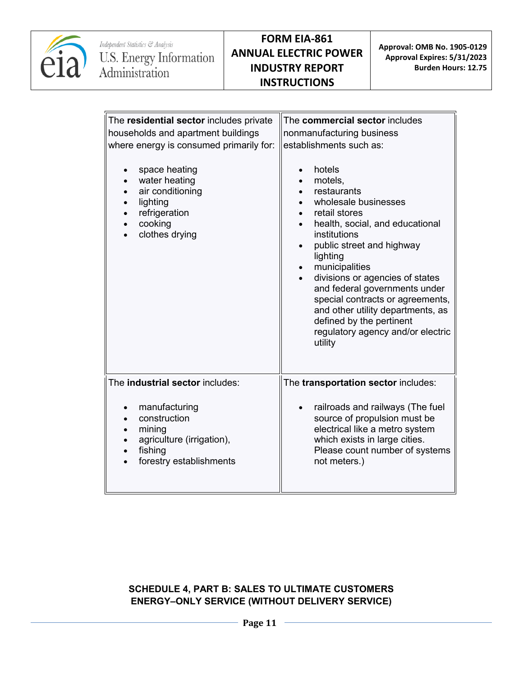

| The residential sector includes private<br>households and apartment buildings<br>where energy is consumed primarily for:<br>space heating<br>$\bullet$<br>water heating<br>$\bullet$<br>air conditioning<br>$\bullet$<br>lighting<br>$\bullet$<br>refrigeration<br>$\bullet$<br>cooking<br>clothes drying | The commercial sector includes<br>nonmanufacturing business<br>establishments such as:<br>hotels<br>$\bullet$<br>motels,<br>$\bullet$<br>restaurants<br>$\bullet$<br>wholesale businesses<br>retail stores<br>health, social, and educational<br>institutions<br>public street and highway<br>$\bullet$<br>lighting<br>municipalities<br>$\bullet$<br>divisions or agencies of states<br>$\bullet$<br>and federal governments under<br>special contracts or agreements,<br>and other utility departments, as<br>defined by the pertinent<br>regulatory agency and/or electric<br>utility |
|-----------------------------------------------------------------------------------------------------------------------------------------------------------------------------------------------------------------------------------------------------------------------------------------------------------|------------------------------------------------------------------------------------------------------------------------------------------------------------------------------------------------------------------------------------------------------------------------------------------------------------------------------------------------------------------------------------------------------------------------------------------------------------------------------------------------------------------------------------------------------------------------------------------|
| The industrial sector includes:<br>manufacturing<br>$\bullet$<br>construction<br>$\bullet$<br>mining<br>agriculture (irrigation),<br>fishing<br>forestry establishments                                                                                                                                   | The transportation sector includes:<br>railroads and railways (The fuel<br>$\bullet$<br>source of propulsion must be<br>electrical like a metro system<br>which exists in large cities.<br>Please count number of systems<br>not meters.)                                                                                                                                                                                                                                                                                                                                                |

# **SCHEDULE 4, PART B: SALES TO ULTIMATE CUSTOMERS ENERGY–ONLY SERVICE (WITHOUT DELIVERY SERVICE)**

**Page 11**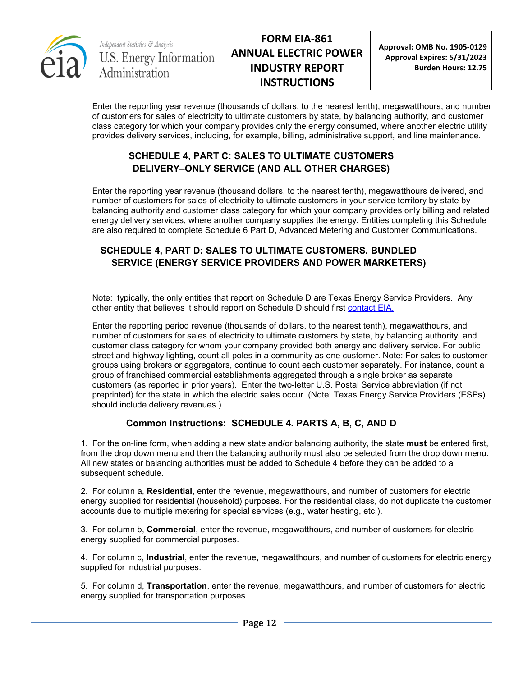

**Approval: OMB No. 1905-0129 Approval Expires: 5/31/2023 Burden Hours: 12.75**

Enter the reporting year revenue (thousands of dollars, to the nearest tenth), megawatthours, and number of customers for sales of electricity to ultimate customers by state, by balancing authority, and customer class category for which your company provides only the energy consumed, where another electric utility provides delivery services, including, for example, billing, administrative support, and line maintenance.

## **SCHEDULE 4, PART C: SALES TO ULTIMATE CUSTOMERS DELIVERY–ONLY SERVICE (AND ALL OTHER CHARGES)**

Enter the reporting year revenue (thousand dollars, to the nearest tenth), megawatthours delivered, and number of customers for sales of electricity to ultimate customers in your service territory by state by balancing authority and customer class category for which your company provides only billing and related energy delivery services, where another company supplies the energy. Entities completing this Schedule are also required to complete Schedule 6 Part D, Advanced Metering and Customer Communications.

# **SCHEDULE 4, PART D: SALES TO ULTIMATE CUSTOMERS. BUNDLED SERVICE (ENERGY SERVICE PROVIDERS AND POWER MARKETERS)**

Note: typically, the only entities that report on Schedule D are Texas Energy Service Providers. Any other entity that believes it should report on Schedule D should first [contact EIA.](mailto:EIA-861@eia.gov)

Enter the reporting period revenue (thousands of dollars, to the nearest tenth), megawatthours, and number of customers for sales of electricity to ultimate customers by state, by balancing authority, and customer class category for whom your company provided both energy and delivery service. For public street and highway lighting, count all poles in a community as one customer. Note: For sales to customer groups using brokers or aggregators, continue to count each customer separately. For instance, count a group of franchised commercial establishments aggregated through a single broker as separate customers (as reported in prior years). Enter the two-letter U.S. Postal Service abbreviation (if not preprinted) for the state in which the electric sales occur. (Note: Texas Energy Service Providers (ESPs) should include delivery revenues.)

# **Common Instructions: SCHEDULE 4. PARTS A, B, C, AND D**

1. For the on-line form, when adding a new state and/or balancing authority, the state **must** be entered first, from the drop down menu and then the balancing authority must also be selected from the drop down menu. All new states or balancing authorities must be added to Schedule 4 before they can be added to a subsequent schedule.

2. For column a, **Residential,** enter the revenue, megawatthours, and number of customers for electric energy supplied for residential (household) purposes. For the residential class, do not duplicate the customer accounts due to multiple metering for special services (e.g., water heating, etc.).

3. For column b, **Commercial**, enter the revenue, megawatthours, and number of customers for electric energy supplied for commercial purposes.

4. For column c, **Industrial**, enter the revenue, megawatthours, and number of customers for electric energy supplied for industrial purposes.

5. For column d, **Transportation**, enter the revenue, megawatthours, and number of customers for electric energy supplied for transportation purposes.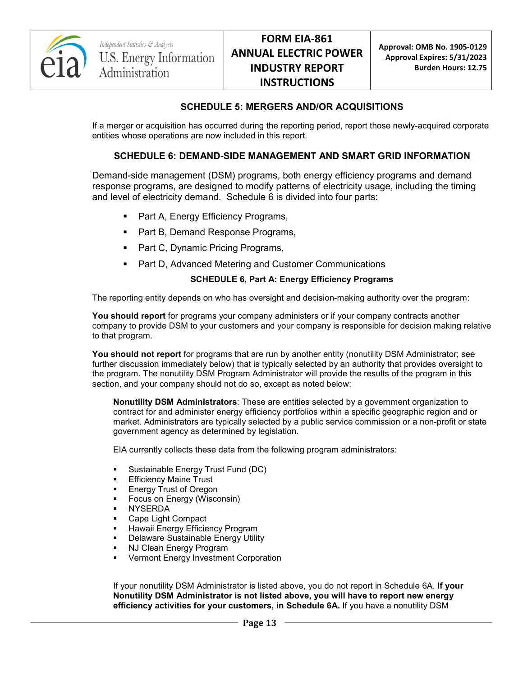

#### **SCHEDULE 5: MERGERS AND/OR ACQUISITIONS**

If a merger or acquisition has occurred during the reporting period, report those newly-acquired corporate entities whose operations are now included in this report.

#### **SCHEDULE 6: DEMAND-SIDE MANAGEMENT AND SMART GRID INFORMATION**

Demand-side management (DSM) programs, both energy efficiency programs and demand response programs, are designed to modify patterns of electricity usage, including the timing and level of electricity demand. Schedule 6 is divided into four parts:

- Part A, Energy Efficiency Programs,
- Part B, Demand Response Programs,
- Part C, Dynamic Pricing Programs,
- **Part D, Advanced Metering and Customer Communications**

#### **SCHEDULE 6, Part A: Energy Efficiency Programs**

The reporting entity depends on who has oversight and decision-making authority over the program:

**You should report** for programs your company administers or if your company contracts another company to provide DSM to your customers and your company is responsible for decision making relative to that program.

**You should not report** for programs that are run by another entity (nonutility DSM Administrator; see further discussion immediately below) that is typically selected by an authority that provides oversight to the program. The nonutility DSM Program Administrator will provide the results of the program in this section, and your company should not do so, except as noted below:

**Nonutility DSM Administrators**: These are entities selected by a government organization to contract for and administer energy efficiency portfolios within a specific geographic region and or market. Administrators are typically selected by a public service commission or a non-profit or state government agency as determined by legislation.

EIA currently collects these data from the following program administrators:

- Sustainable Energy Trust Fund (DC)
- Efficiency Maine Trust
- Energy Trust of Oregon
- Focus on Energy (Wisconsin)
- **NYSERDA**
- Cape Light Compact
- Hawaii Energy Efficiency Program
- **Delaware Sustainable Energy Utility**
- NJ Clean Energy Program
- Vermont Energy Investment Corporation

If your nonutility DSM Administrator is listed above, you do not report in Schedule 6A. **If your Nonutility DSM Administrator is not listed above, you will have to report new energy efficiency activities for your customers, in Schedule 6A.** If you have a nonutility DSM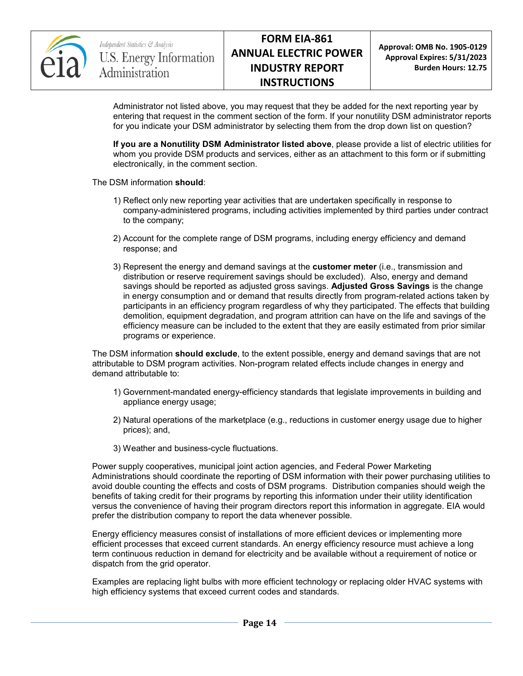

**Approval: OMB No. 1905-0129 Approval Expires: 5/31/2023 Burden Hours: 12.75**

Administrator not listed above, you may request that they be added for the next reporting year by entering that request in the comment section of the form. If your nonutility DSM administrator reports for you indicate your DSM administrator by selecting them from the drop down list on question?

**If you are a Nonutility DSM Administrator listed above**, please provide a list of electric utilities for whom you provide DSM products and services, either as an attachment to this form or if submitting electronically, in the comment section.

The DSM information **should**:

- 1) Reflect only new reporting year activities that are undertaken specifically in response to company-administered programs, including activities implemented by third parties under contract to the company;
- 2) Account for the complete range of DSM programs, including energy efficiency and demand response; and
- 3) Represent the energy and demand savings at the **customer meter** (i.e., transmission and distribution or reserve requirement savings should be excluded). Also, energy and demand savings should be reported as adjusted gross savings. **Adjusted Gross Savings** is the change in energy consumption and or demand that results directly from program-related actions taken by participants in an efficiency program regardless of why they participated. The effects that building demolition, equipment degradation, and program attrition can have on the life and savings of the efficiency measure can be included to the extent that they are easily estimated from prior similar programs or experience.

The DSM information **should exclude**, to the extent possible, energy and demand savings that are not attributable to DSM program activities. Non-program related effects include changes in energy and demand attributable to:

- 1) Government-mandated energy-efficiency standards that legislate improvements in building and appliance energy usage;
- 2) Natural operations of the marketplace (e.g., reductions in customer energy usage due to higher prices); and,
- 3) Weather and business-cycle fluctuations.

Power supply cooperatives, municipal joint action agencies, and Federal Power Marketing Administrations should coordinate the reporting of DSM information with their power purchasing utilities to avoid double counting the effects and costs of DSM programs. Distribution companies should weigh the benefits of taking credit for their programs by reporting this information under their utility identification versus the convenience of having their program directors report this information in aggregate. EIA would prefer the distribution company to report the data whenever possible.

Energy efficiency measures consist of installations of more efficient devices or implementing more efficient processes that exceed current standards. An energy efficiency resource must achieve a long term continuous reduction in demand for electricity and be available without a requirement of notice or dispatch from the grid operator.

Examples are replacing light bulbs with more efficient technology or replacing older HVAC systems with high efficiency systems that exceed current codes and standards.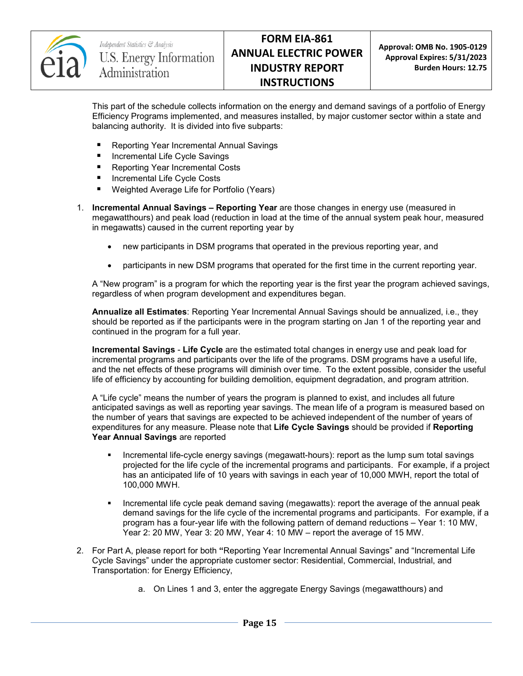

This part of the schedule collects information on the energy and demand savings of a portfolio of Energy Efficiency Programs implemented, and measures installed, by major customer sector within a state and balancing authority. It is divided into five subparts:

- **Reporting Year Incremental Annual Savings**
- Incremental Life Cycle Savings
- Reporting Year Incremental Costs
- Incremental Life Cycle Costs
- Weighted Average Life for Portfolio (Years)
- 1. **Incremental Annual Savings – Reporting Year** are those changes in energy use (measured in megawatthours) and peak load (reduction in load at the time of the annual system peak hour, measured in megawatts) caused in the current reporting year by
	- new participants in DSM programs that operated in the previous reporting year, and
	- participants in new DSM programs that operated for the first time in the current reporting year.

A "New program" is a program for which the reporting year is the first year the program achieved savings, regardless of when program development and expenditures began.

**Annualize all Estimates**: Reporting Year Incremental Annual Savings should be annualized, i.e., they should be reported as if the participants were in the program starting on Jan 1 of the reporting year and continued in the program for a full year.

**Incremental Savings** - **Life Cycle** are the estimated total changes in energy use and peak load for incremental programs and participants over the life of the programs. DSM programs have a useful life, and the net effects of these programs will diminish over time. To the extent possible, consider the useful life of efficiency by accounting for building demolition, equipment degradation, and program attrition.

A "Life cycle" means the number of years the program is planned to exist, and includes all future anticipated savings as well as reporting year savings. The mean life of a program is measured based on the number of years that savings are expected to be achieved independent of the number of years of expenditures for any measure. Please note that **Life Cycle Savings** should be provided if **Reporting Year Annual Savings** are reported

- **Incremental life-cycle energy savings (megawatt-hours): report as the lump sum total savings** projected for the life cycle of the incremental programs and participants. For example, if a project has an anticipated life of 10 years with savings in each year of 10,000 MWH, report the total of 100,000 MWH.
- **Incremental life cycle peak demand saving (megawatts): report the average of the annual peak** demand savings for the life cycle of the incremental programs and participants. For example, if a program has a four-year life with the following pattern of demand reductions – Year 1: 10 MW, Year 2: 20 MW, Year 3: 20 MW, Year 4: 10 MW – report the average of 15 MW.
- 2. For Part A, please report for both **"**Reporting Year Incremental Annual Savings" and "Incremental Life Cycle Savings" under the appropriate customer sector: Residential, Commercial, Industrial, and Transportation: for Energy Efficiency,
	- a. On Lines 1 and 3, enter the aggregate Energy Savings (megawatthours) and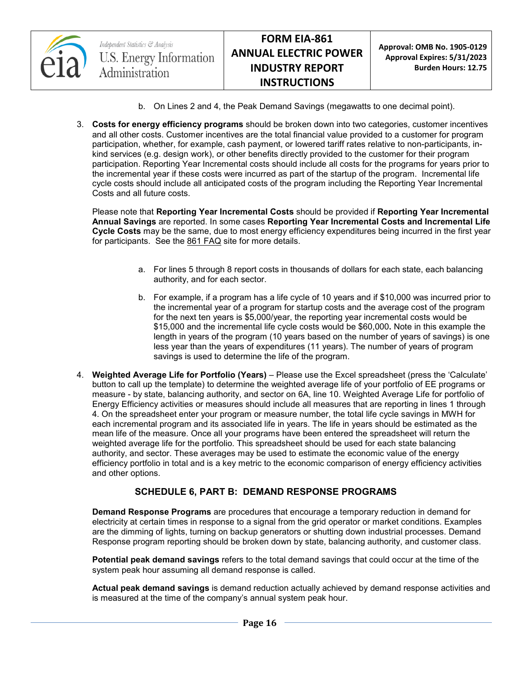

Independent Statistics & Analysis U.S. Energy Information Administration

**Approval: OMB No. 1905-0129 Approval Expires: 5/31/2023 Burden Hours: 12.75**

- b. On Lines 2 and 4, the Peak Demand Savings (megawatts to one decimal point).
- 3. **Costs for energy efficiency programs** should be broken down into two categories, customer incentives and all other costs. Customer incentives are the total financial value provided to a customer for program participation, whether, for example, cash payment, or lowered tariff rates relative to non-participants, inkind services (e.g. design work), or other benefits directly provided to the customer for their program participation. Reporting Year Incremental costs should include all costs for the programs for years prior to the incremental year if these costs were incurred as part of the startup of the program. Incremental life cycle costs should include all anticipated costs of the program including the Reporting Year Incremental Costs and all future costs.

Please note that **Reporting Year Incremental Costs** should be provided if **Reporting Year Incremental Annual Savings** are reported. In some cases **Reporting Year Incremental Costs and Incremental Life Cycle Costs** may be the same, due to most energy efficiency expenditures being incurred in the first year for participants. See the [861 FAQ](http://www.eia.gov/survey/form/eia_861/faqs.cfm) site for more details.

- a. For lines 5 through 8 report costs in thousands of dollars for each state, each balancing authority, and for each sector.
- b. For example, if a program has a life cycle of 10 years and if \$10,000 was incurred prior to the incremental year of a program for startup costs and the average cost of the program for the next ten years is \$5,000/year, the reporting year incremental costs would be \$15,000 and the incremental life cycle costs would be \$60,000**.** Note in this example the length in years of the program (10 years based on the number of years of savings) is one less year than the years of expenditures (11 years). The number of years of program savings is used to determine the life of the program.
- 4. **Weighted Average Life for Portfolio (Years)** Please use the Excel spreadsheet (press the 'Calculate' button to call up the template) to determine the weighted average life of your portfolio of EE programs or measure - by state, balancing authority, and sector on 6A, line 10. Weighted Average Life for portfolio of Energy Efficiency activities or measures should include all measures that are reporting in lines 1 through 4. On the spreadsheet enter your program or measure number, the total life cycle savings in MWH for each incremental program and its associated life in years. The life in years should be estimated as the mean life of the measure. Once all your programs have been entered the spreadsheet will return the weighted average life for the portfolio. This spreadsheet should be used for each state balancing authority, and sector. These averages may be used to estimate the economic value of the energy efficiency portfolio in total and is a key metric to the economic comparison of energy efficiency activities and other options.

## **SCHEDULE 6, PART B: DEMAND RESPONSE PROGRAMS**

**Demand Response Programs** are procedures that encourage a temporary reduction in demand for electricity at certain times in response to a signal from the grid operator or market conditions. Examples are the dimming of lights, turning on backup generators or shutting down industrial processes. Demand Response program reporting should be broken down by state, balancing authority, and customer class.

**Potential peak demand savings** refers to the total demand savings that could occur at the time of the system peak hour assuming all demand response is called.

**Actual peak demand savings** is demand reduction actually achieved by demand response activities and is measured at the time of the company's annual system peak hour.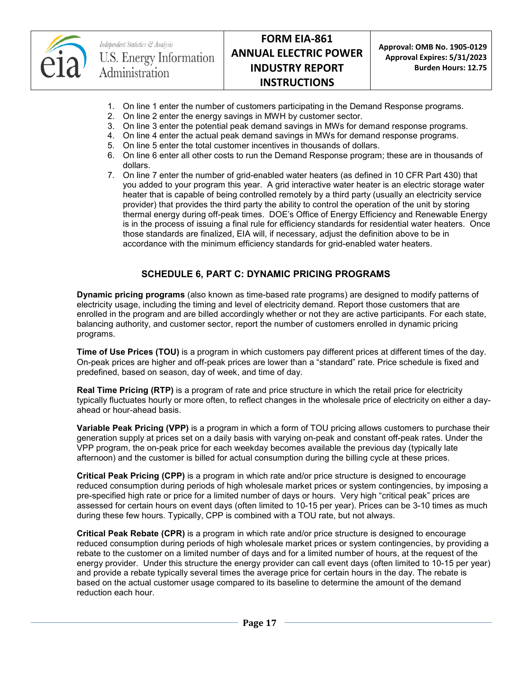

Independent Statistics & Analysis U.S. Energy Information Administration

# **FORM EIA-861 ANNUAL ELECTRIC POWER INDUSTRY REPORT INSTRUCTIONS**

**Approval: OMB No. 1905-0129 Approval Expires: 5/31/2023 Burden Hours: 12.75**

- 1. On line 1 enter the number of customers participating in the Demand Response programs.
- 2. On line 2 enter the energy savings in MWH by customer sector.
- 3. On line 3 enter the potential peak demand savings in MWs for demand response programs.
- 4. On line 4 enter the actual peak demand savings in MWs for demand response programs.
- 5. On line 5 enter the total customer incentives in thousands of dollars.
- 6. On line 6 enter all other costs to run the Demand Response program; these are in thousands of dollars.
- 7. On line 7 enter the number of grid-enabled water heaters (as defined in 10 CFR Part 430) that you added to your program this year. A grid interactive water heater is an electric storage water heater that is capable of being controlled remotely by a third party (usually an electricity service provider) that provides the third party the ability to control the operation of the unit by storing thermal energy during off-peak times. DOE's Office of Energy Efficiency and Renewable Energy is in the process of issuing a final rule for efficiency standards for residential water heaters. Once those standards are finalized, EIA will, if necessary, adjust the definition above to be in accordance with the minimum efficiency standards for grid-enabled water heaters.

## **SCHEDULE 6, PART C: DYNAMIC PRICING PROGRAMS**

**Dynamic pricing programs** (also known as time-based rate programs) are designed to modify patterns of electricity usage, including the timing and level of electricity demand. Report those customers that are enrolled in the program and are billed accordingly whether or not they are active participants. For each state, balancing authority, and customer sector, report the number of customers enrolled in dynamic pricing programs.

**Time of Use Prices (TOU)** is a program in which customers pay different prices at different times of the day. On-peak prices are higher and off-peak prices are lower than a "standard" rate. Price schedule is fixed and predefined, based on season, day of week, and time of day.

**Real Time Pricing (RTP)** is a program of rate and price structure in which the retail price for electricity typically fluctuates hourly or more often, to reflect changes in the wholesale price of electricity on either a dayahead or hour-ahead basis.

**Variable Peak Pricing (VPP)** is a program in which a form of TOU pricing allows customers to purchase their generation supply at prices set on a daily basis with varying on-peak and constant off-peak rates. Under the VPP program, the on-peak price for each weekday becomes available the previous day (typically late afternoon) and the customer is billed for actual consumption during the billing cycle at these prices.

**Critical Peak Pricing (CPP)** is a program in which rate and/or price structure is designed to encourage reduced consumption during periods of high wholesale market prices or system contingencies, by imposing a pre-specified high rate or price for a limited number of days or hours. Very high "critical peak" prices are assessed for certain hours on event days (often limited to 10-15 per year). Prices can be 3-10 times as much during these few hours. Typically, CPP is combined with a TOU rate, but not always.

**Critical Peak Rebate (CPR)** is a program in which rate and/or price structure is designed to encourage reduced consumption during periods of high wholesale market prices or system contingencies, by providing a rebate to the customer on a limited number of days and for a limited number of hours, at the request of the energy provider. Under this structure the energy provider can call event days (often limited to 10-15 per year) and provide a rebate typically several times the average price for certain hours in the day. The rebate is based on the actual customer usage compared to its baseline to determine the amount of the demand reduction each hour.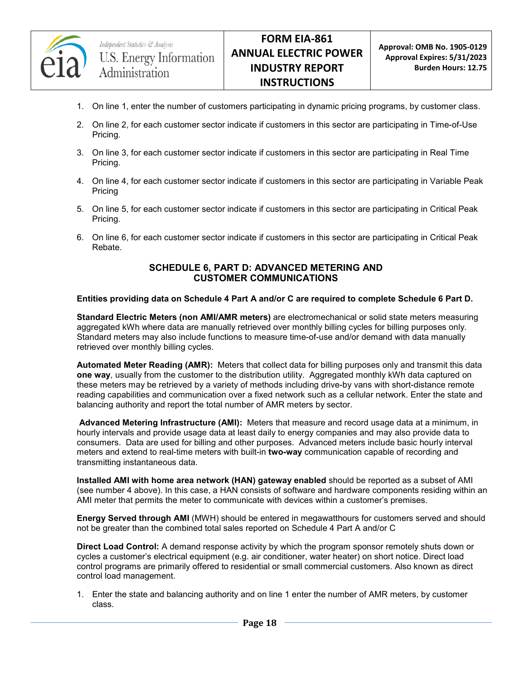

- 1. On line 1, enter the number of customers participating in dynamic pricing programs, by customer class.
- 2. On line 2, for each customer sector indicate if customers in this sector are participating in Time-of-Use Pricing.
- 3. On line 3, for each customer sector indicate if customers in this sector are participating in Real Time Pricing.
- 4. On line 4, for each customer sector indicate if customers in this sector are participating in Variable Peak Pricing
- 5. On line 5, for each customer sector indicate if customers in this sector are participating in Critical Peak Pricing.
- 6. On line 6, for each customer sector indicate if customers in this sector are participating in Critical Peak Rebate.

#### **SCHEDULE 6, PART D: ADVANCED METERING AND CUSTOMER COMMUNICATIONS**

#### **Entities providing data on Schedule 4 Part A and/or C are required to complete Schedule 6 Part D.**

**Standard Electric Meters (non AMI/AMR meters)** are electromechanical or solid state meters measuring aggregated kWh where data are manually retrieved over monthly billing cycles for billing purposes only. Standard meters may also include functions to measure time-of-use and/or demand with data manually retrieved over monthly billing cycles.

**Automated Meter Reading (AMR):** Meters that collect data for billing purposes only and transmit this data **one way**, usually from the customer to the distribution utility. Aggregated monthly kWh data captured on these meters may be retrieved by a variety of methods including drive-by vans with short-distance remote reading capabilities and communication over a fixed network such as a cellular network. Enter the state and balancing authority and report the total number of AMR meters by sector.

**Advanced Metering Infrastructure (AMI):** Meters that measure and record usage data at a minimum, in hourly intervals and provide usage data at least daily to energy companies and may also provide data to consumers. Data are used for billing and other purposes. Advanced meters include basic hourly interval meters and extend to real-time meters with built-in **two-way** communication capable of recording and transmitting instantaneous data.

**Installed AMI with home area network (HAN) gateway enabled** should be reported as a subset of AMI (see number 4 above). In this case, a HAN consists of software and hardware components residing within an AMI meter that permits the meter to communicate with devices within a customer's premises.

**Energy Served through AMI** (MWH) should be entered in megawatthours for customers served and should not be greater than the combined total sales reported on Schedule 4 Part A and/or C

**Direct Load Control:** A demand response activity by which the program sponsor remotely shuts down or cycles a customer's electrical equipment (e.g. air conditioner, water heater) on short notice. Direct load control programs are primarily offered to residential or small commercial customers. Also known as direct control load management.

1. Enter the state and balancing authority and on line 1 enter the number of AMR meters, by customer class.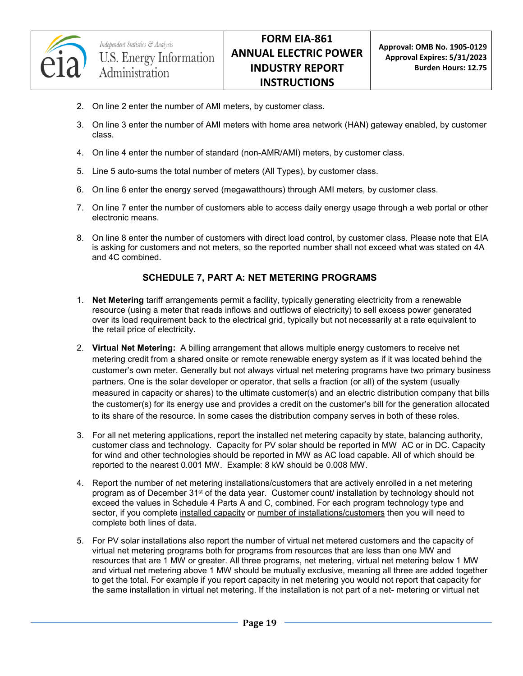

- 2. On line 2 enter the number of AMI meters, by customer class.
- 3. On line 3 enter the number of AMI meters with home area network (HAN) gateway enabled, by customer class.
- 4. On line 4 enter the number of standard (non-AMR/AMI) meters, by customer class.
- 5. Line 5 auto-sums the total number of meters (All Types), by customer class.
- 6. On line 6 enter the energy served (megawatthours) through AMI meters, by customer class.
- 7. On line 7 enter the number of customers able to access daily energy usage through a web portal or other electronic means.
- 8. On line 8 enter the number of customers with direct load control, by customer class. Please note that EIA is asking for customers and not meters, so the reported number shall not exceed what was stated on 4A and 4C combined.

## **SCHEDULE 7, PART A: NET METERING PROGRAMS**

- 1. **Net Metering** tariff arrangements permit a facility, typically generating electricity from a renewable resource (using a meter that reads inflows and outflows of electricity) to sell excess power generated over its load requirement back to the electrical grid, typically but not necessarily at a rate equivalent to the retail price of electricity.
- 2. **Virtual Net Metering:** A billing arrangement that allows multiple energy customers to receive net metering credit from a shared onsite or remote renewable energy system as if it was located behind the customer's own meter. Generally but not always virtual net metering programs have two primary business partners. One is the solar developer or operator, that sells a fraction (or all) of the system (usually measured in capacity or shares) to the ultimate customer(s) and an electric distribution company that bills the customer(s) for its energy use and provides a credit on the customer's bill for the generation allocated to its share of the resource. In some cases the distribution company serves in both of these roles.
- 3. For all net metering applications, report the installed net metering capacity by state, balancing authority, customer class and technology. Capacity for PV solar should be reported in MW AC or in DC. Capacity for wind and other technologies should be reported in MW as AC load capable. All of which should be reported to the nearest 0.001 MW. Example: 8 kW should be 0.008 MW.
- 4. Report the number of net metering installations/customers that are actively enrolled in a net metering program as of December 31<sup>st</sup> of the data year. Customer count/ installation by technology should not exceed the values in Schedule 4 Parts A and C, combined. For each program technology type and sector, if you complete installed capacity or number of installations/customers then you will need to complete both lines of data.
- 5. For PV solar installations also report the number of virtual net metered customers and the capacity of virtual net metering programs both for programs from resources that are less than one MW and resources that are 1 MW or greater. All three programs, net metering, virtual net metering below 1 MW and virtual net metering above 1 MW should be mutually exclusive, meaning all three are added together to get the total. For example if you report capacity in net metering you would not report that capacity for the same installation in virtual net metering. If the installation is not part of a net- metering or virtual net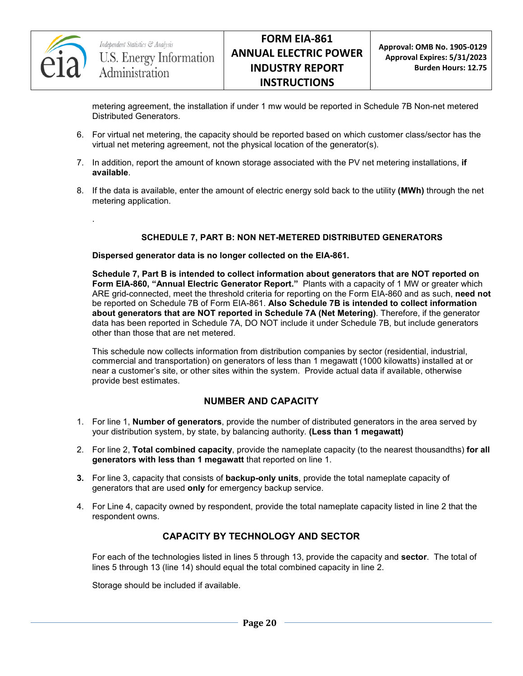

.

metering agreement, the installation if under 1 mw would be reported in Schedule 7B Non-net metered Distributed Generators.

- 6. For virtual net metering, the capacity should be reported based on which customer class/sector has the virtual net metering agreement, not the physical location of the generator(s).
- 7. In addition, report the amount of known storage associated with the PV net metering installations, **if available**.
- 8. If the data is available, enter the amount of electric energy sold back to the utility **(MWh)** through the net metering application.

#### **SCHEDULE 7, PART B: NON NET-METERED DISTRIBUTED GENERATORS**

**Dispersed generator data is no longer collected on the EIA-861.** 

**Schedule 7, Part B is intended to collect information about generators that are NOT reported on Form EIA-860, "Annual Electric Generator Report."** Plants with a capacity of 1 MW or greater which ARE grid-connected, meet the threshold criteria for reporting on the Form EIA-860 and as such, **need not** be reported on Schedule 7B of Form EIA-861. **Also Schedule 7B is intended to collect information about generators that are NOT reported in Schedule 7A (Net Metering)**. Therefore, if the generator data has been reported in Schedule 7A, DO NOT include it under Schedule 7B, but include generators other than those that are net metered.

This schedule now collects information from distribution companies by sector (residential, industrial, commercial and transportation) on generators of less than 1 megawatt (1000 kilowatts) installed at or near a customer's site, or other sites within the system. Provide actual data if available, otherwise provide best estimates.

## **NUMBER AND CAPACITY**

- 1. For line 1, **Number of generators**, provide the number of distributed generators in the area served by your distribution system, by state, by balancing authority. **(Less than 1 megawatt)**
- 2. For line 2, **Total combined capacity**, provide the nameplate capacity (to the nearest thousandths) **for all generators with less than 1 megawatt** that reported on line 1.
- **3.** For line 3, capacity that consists of **backup-only units**, provide the total nameplate capacity of generators that are used **only** for emergency backup service.
- 4. For Line 4, capacity owned by respondent, provide the total nameplate capacity listed in line 2 that the respondent owns.

## **CAPACITY BY TECHNOLOGY AND SECTOR**

For each of the technologies listed in lines 5 through 13, provide the capacity and **sector**. The total of lines 5 through 13 (line 14) should equal the total combined capacity in line 2.

Storage should be included if available.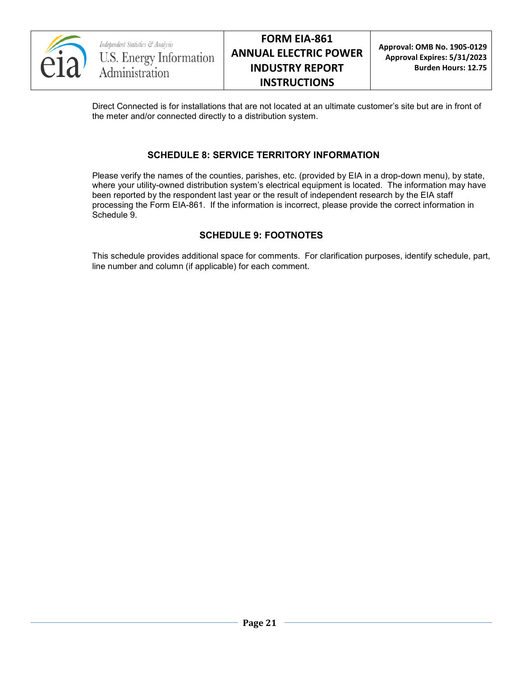

Direct Connected is for installations that are not located at an ultimate customer's site but are in front of the meter and/or connected directly to a distribution system.

## **SCHEDULE 8: SERVICE TERRITORY INFORMATION**

Please verify the names of the counties, parishes, etc. (provided by EIA in a drop-down menu), by state, where your utility-owned distribution system's electrical equipment is located. The information may have been reported by the respondent last year or the result of independent research by the EIA staff processing the Form EIA-861. If the information is incorrect, please provide the correct information in Schedule 9.

## **SCHEDULE 9: FOOTNOTES**

This schedule provides additional space for comments. For clarification purposes, identify schedule, part, line number and column (if applicable) for each comment.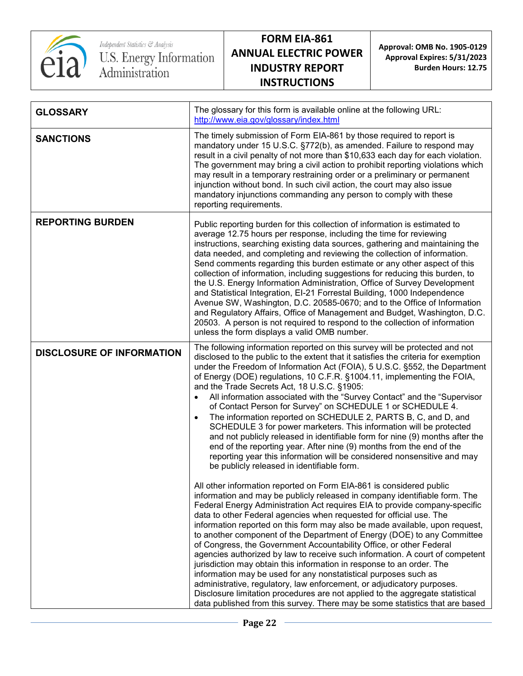

Independent Statistics & Analysis<br>U.S. Energy Information<br>Administration

# **FORM EIA-861 ANNUAL ELECTRIC POWER INDUSTRY REPORT INSTRUCTIONS**

**Approval: OMB No. 1905-0129 Approval Expires: 5/31/2023 Burden Hours: 12.75**

| <b>GLOSSARY</b>                  | The glossary for this form is available online at the following URL:<br>http://www.eia.gov/glossary/index.html                                                                                                                                                                                                                                                                                                                                                                                                                                                                                                                                                                                                                                                                                                                                                                                                                                                                                                 |
|----------------------------------|----------------------------------------------------------------------------------------------------------------------------------------------------------------------------------------------------------------------------------------------------------------------------------------------------------------------------------------------------------------------------------------------------------------------------------------------------------------------------------------------------------------------------------------------------------------------------------------------------------------------------------------------------------------------------------------------------------------------------------------------------------------------------------------------------------------------------------------------------------------------------------------------------------------------------------------------------------------------------------------------------------------|
| <b>SANCTIONS</b>                 | The timely submission of Form EIA-861 by those required to report is<br>mandatory under 15 U.S.C. §772(b), as amended. Failure to respond may<br>result in a civil penalty of not more than \$10,633 each day for each violation.<br>The government may bring a civil action to prohibit reporting violations which<br>may result in a temporary restraining order or a preliminary or permanent<br>injunction without bond. In such civil action, the court may also issue<br>mandatory injunctions commanding any person to comply with these<br>reporting requirements.                                                                                                                                                                                                                                                                                                                                                                                                                                     |
| <b>REPORTING BURDEN</b>          | Public reporting burden for this collection of information is estimated to<br>average 12.75 hours per response, including the time for reviewing<br>instructions, searching existing data sources, gathering and maintaining the<br>data needed, and completing and reviewing the collection of information.<br>Send comments regarding this burden estimate or any other aspect of this<br>collection of information, including suggestions for reducing this burden, to<br>the U.S. Energy Information Administration, Office of Survey Development<br>and Statistical Integration, EI-21 Forrestal Building, 1000 Independence<br>Avenue SW, Washington, D.C. 20585-0670; and to the Office of Information<br>and Regulatory Affairs, Office of Management and Budget, Washington, D.C.<br>20503. A person is not required to respond to the collection of information<br>unless the form displays a valid OMB number.                                                                                      |
| <b>DISCLOSURE OF INFORMATION</b> | The following information reported on this survey will be protected and not<br>disclosed to the public to the extent that it satisfies the criteria for exemption<br>under the Freedom of Information Act (FOIA), 5 U.S.C. §552, the Department<br>of Energy (DOE) regulations, 10 C.F.R. §1004.11, implementing the FOIA,<br>and the Trade Secrets Act, 18 U.S.C. §1905:<br>All information associated with the "Survey Contact" and the "Supervisor<br>of Contact Person for Survey" on SCHEDULE 1 or SCHEDULE 4.<br>The information reported on SCHEDULE 2, PARTS B, C, and D, and<br>$\bullet$<br>SCHEDULE 3 for power marketers. This information will be protected<br>and not publicly released in identifiable form for nine (9) months after the<br>end of the reporting year. After nine (9) months from the end of the<br>reporting year this information will be considered nonsensitive and may<br>be publicly released in identifiable form.                                                      |
|                                  | All other information reported on Form EIA-861 is considered public<br>information and may be publicly released in company identifiable form. The<br>Federal Energy Administration Act requires EIA to provide company-specific<br>data to other Federal agencies when requested for official use. The<br>information reported on this form may also be made available, upon request,<br>to another component of the Department of Energy (DOE) to any Committee<br>of Congress, the Government Accountability Office, or other Federal<br>agencies authorized by law to receive such information. A court of competent<br>jurisdiction may obtain this information in response to an order. The<br>information may be used for any nonstatistical purposes such as<br>administrative, regulatory, law enforcement, or adjudicatory purposes.<br>Disclosure limitation procedures are not applied to the aggregate statistical<br>data published from this survey. There may be some statistics that are based |